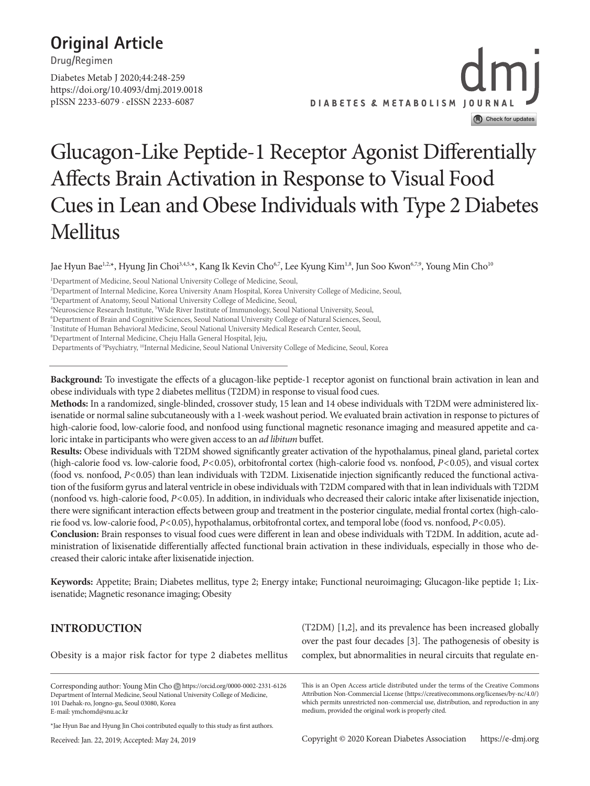## **Original Article**

**Drug/Regimen**

https://doi.org/10.4093/dmj.2019.0018 pISSN 2233-6079 · eISSN 2233-6087 Diabetes Metab J 2020;44:248-259

# **DIABETES & METABOLISM JOURNAL** Check for updates

## Glucagon-Like Peptide-1 Receptor Agonist Differentially Affects Brain Activation in Response to Visual Food Cues in Lean and Obese Individuals with Type 2 Diabetes Mellitus

Jae Hyun Bae<sup>1,2,\*</sup>, Hyung Jin Choi<sup>3,4,5,\*</sup>, Kang Ik Kevin Cho<sup>6,7</sup>, Lee Kyung Kim<sup>1,8</sup>, Jun Soo Kwon<sup>6,7,9</sup>, Young Min Cho<sup>10</sup>

<sup>4</sup>Neuroscience Research Institute, <sup>5</sup>Wide River Institute of Immunology, Seoul National University, Seoul,<br><sup>6</sup>Department of Brain and Cognitive Sciences, Seoul National University College of Natural Sciences, Seou

Department of Brain and Cognitive Sciences, Seoul National University College of Natural Sciences, Seoul,

7 Institute of Human Behavioral Medicine, Seoul National University Medical Research Center, Seoul,

8 Department of Internal Medicine, Cheju Halla General Hospital, Jeju,

**Background:** To investigate the effects of a glucagon-like peptide-1 receptor agonist on functional brain activation in lean and obese individuals with type 2 diabetes mellitus (T2DM) in response to visual food cues.

**Methods:** In a randomized, single-blinded, crossover study, 15 lean and 14 obese individuals with T2DM were administered lixisenatide or normal saline subcutaneously with a 1-week washout period. We evaluated brain activation in response to pictures of high-calorie food, low-calorie food, and nonfood using functional magnetic resonance imaging and measured appetite and caloric intake in participants who were given access to an *ad libitum* buffet.

**Results:** Obese individuals with T2DM showed significantly greater activation of the hypothalamus, pineal gland, parietal cortex (high-calorie food vs. low-calorie food, *P*<0.05), orbitofrontal cortex (high-calorie food vs. nonfood, *P*<0.05), and visual cortex (food vs. nonfood, *P*<0.05) than lean individuals with T2DM. Lixisenatide injection significantly reduced the functional activation of the fusiform gyrus and lateral ventricle in obese individuals with T2DM compared with that in lean individuals with T2DM (nonfood vs. high-calorie food, *P*<0.05). In addition, in individuals who decreased their caloric intake after lixisenatide injection, there were significant interaction effects between group and treatment in the posterior cingulate, medial frontal cortex (high-calorie food vs. low-calorie food, *P*<0.05), hypothalamus, orbitofrontal cortex, and temporal lobe (food vs. nonfood, *P*<0.05).

**Conclusion:** Brain responses to visual food cues were different in lean and obese individuals with T2DM. In addition, acute administration of lixisenatide differentially affected functional brain activation in these individuals, especially in those who decreased their caloric intake after lixisenatide injection.

**Keywords:** Appetite; Brain; Diabetes mellitus, type 2; Energy intake; Functional neuroimaging; Glucagon-like peptide 1; Lixisenatide; Magnetic resonance imaging; Obesity

### **INTRODUCTION**

Obesity is a major risk factor for type 2 diabetes mellitus

\*Jae Hyun Bae and Hyung Jin Choi contributed equally to this study as first authors.

Received: Jan. 22, 2019; Accepted: May 24, 2019

(T2DM) [1,2], and its prevalence has been increased globally over the past four decades [3]. The pathogenesis of obesity is complex, but abnormalities in neural circuits that regulate en-

This is an Open Access article distributed under the terms of the Creative Commons Attribution Non-Commercial License (https://creativecommons.org/licenses/by-nc/4.0/) which permits unrestricted non-commercial use, distribution, and reproduction in any medium, provided the original work is properly cited.

<sup>1</sup> Department of Medicine, Seoul National University College of Medicine, Seoul,

<sup>2</sup> Department of Internal Medicine, Korea University Anam Hospital, Korea University College of Medicine, Seoul,

<sup>3</sup> Department of Anatomy, Seoul National University College of Medicine, Seoul,

Departments of 9 Psychiatry, 10Internal Medicine, Seoul National University College of Medicine, Seoul, Korea

Corresponding author: Young Min Cho https://orcid.org/0000-0002-2331-6126 Department of Internal Medicine, Seoul National University College of Medicine, 101 Daehak-ro, Jongno-gu, Seoul 03080, Korea E-mail: ymchomd@snu.ac.kr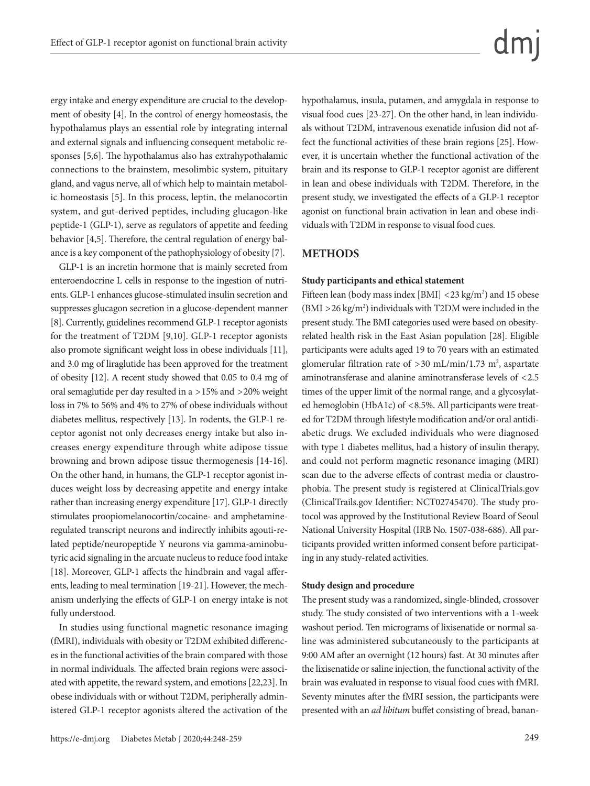ergy intake and energy expenditure are crucial to the development of obesity [4]. In the control of energy homeostasis, the hypothalamus plays an essential role by integrating internal and external signals and influencing consequent metabolic responses [5,6]. The hypothalamus also has extrahypothalamic connections to the brainstem, mesolimbic system, pituitary gland, and vagus nerve, all of which help to maintain metabolic homeostasis [5]. In this process, leptin, the melanocortin system, and gut-derived peptides, including glucagon-like peptide-1 (GLP-1), serve as regulators of appetite and feeding behavior [4,5]. Therefore, the central regulation of energy balance is a key component of the pathophysiology of obesity [7].

GLP-1 is an incretin hormone that is mainly secreted from enteroendocrine L cells in response to the ingestion of nutrients. GLP-1 enhances glucose-stimulated insulin secretion and suppresses glucagon secretion in a glucose-dependent manner [8]. Currently, guidelines recommend GLP-1 receptor agonists for the treatment of T2DM [9,10]. GLP-1 receptor agonists also promote significant weight loss in obese individuals [11], and 3.0 mg of liraglutide has been approved for the treatment of obesity [12]. A recent study showed that 0.05 to 0.4 mg of oral semaglutide per day resulted in a >15% and >20% weight loss in 7% to 56% and 4% to 27% of obese individuals without diabetes mellitus, respectively [13]. In rodents, the GLP-1 receptor agonist not only decreases energy intake but also increases energy expenditure through white adipose tissue browning and brown adipose tissue thermogenesis [14-16]. On the other hand, in humans, the GLP-1 receptor agonist induces weight loss by decreasing appetite and energy intake rather than increasing energy expenditure [17]. GLP-1 directly stimulates proopiomelanocortin/cocaine- and amphetamineregulated transcript neurons and indirectly inhibits agouti-related peptide/neuropeptide Y neurons via gamma-aminobutyric acid signaling in the arcuate nucleus to reduce food intake [18]. Moreover, GLP-1 affects the hindbrain and vagal afferents, leading to meal termination [19-21]. However, the mechanism underlying the effects of GLP-1 on energy intake is not fully understood.

In studies using functional magnetic resonance imaging (fMRI), individuals with obesity or T2DM exhibited differences in the functional activities of the brain compared with those in normal individuals. The affected brain regions were associated with appetite, the reward system, and emotions [22,23]. In obese individuals with or without T2DM, peripherally administered GLP-1 receptor agonists altered the activation of the hypothalamus, insula, putamen, and amygdala in response to visual food cues [23-27]. On the other hand, in lean individuals without T2DM, intravenous exenatide infusion did not affect the functional activities of these brain regions [25]. However, it is uncertain whether the functional activation of the brain and its response to GLP-1 receptor agonist are different in lean and obese individuals with T2DM. Therefore, in the present study, we investigated the effects of a GLP-1 receptor agonist on functional brain activation in lean and obese individuals with T2DM in response to visual food cues.

#### **METHODS**

#### **Study participants and ethical statement**

Fifteen lean (body mass index [BMI]  $<$  23 kg/m<sup>2</sup>) and 15 obese  $(BMI > 26 \text{ kg/m}^2)$  individuals with T2DM were included in the present study. The BMI categories used were based on obesityrelated health risk in the East Asian population [28]. Eligible participants were adults aged 19 to 70 years with an estimated glomerular filtration rate of  $>$  30 mL/min/1.73 m<sup>2</sup>, aspartate aminotransferase and alanine aminotransferase levels of <2.5 times of the upper limit of the normal range, and a glycosylated hemoglobin (HbA1c) of <8.5%. All participants were treated for T2DM through lifestyle modification and/or oral antidiabetic drugs. We excluded individuals who were diagnosed with type 1 diabetes mellitus, had a history of insulin therapy, and could not perform magnetic resonance imaging (MRI) scan due to the adverse effects of contrast media or claustrophobia. The present study is registered at ClinicalTrials.gov (ClinicalTrails.gov Identifier: NCT02745470). The study protocol was approved by the Institutional Review Board of Seoul National University Hospital (IRB No. 1507-038-686). All participants provided written informed consent before participating in any study-related activities.

#### **Study design and procedure**

The present study was a randomized, single-blinded, crossover study. The study consisted of two interventions with a 1-week washout period. Ten micrograms of lixisenatide or normal saline was administered subcutaneously to the participants at 9:00 AM after an overnight (12 hours) fast. At 30 minutes after the lixisenatide or saline injection, the functional activity of the brain was evaluated in response to visual food cues with fMRI. Seventy minutes after the fMRI session, the participants were presented with an *ad libitum* buffet consisting of bread, banan-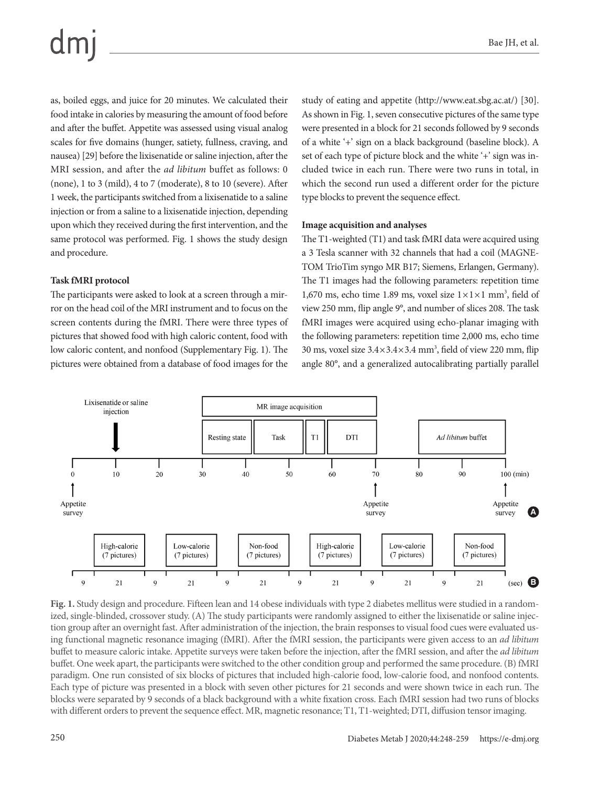as, boiled eggs, and juice for 20 minutes. We calculated their food intake in calories by measuring the amount of food before and after the buffet. Appetite was assessed using visual analog scales for five domains (hunger, satiety, fullness, craving, and nausea) [29] before the lixisenatide or saline injection, after the MRI session, and after the *ad libitum* buffet as follows: 0 (none), 1 to 3 (mild), 4 to 7 (moderate), 8 to 10 (severe). After 1 week, the participants switched from a lixisenatide to a saline injection or from a saline to a lixisenatide injection, depending upon which they received during the first intervention, and the same protocol was performed. Fig. 1 shows the study design and procedure.

#### **Task fMRI protocol**

The participants were asked to look at a screen through a mirror on the head coil of the MRI instrument and to focus on the screen contents during the fMRI. There were three types of pictures that showed food with high caloric content, food with low caloric content, and nonfood (Supplementary Fig. 1). The pictures were obtained from a database of food images for the study of eating and appetite (http://www.eat.sbg.ac.at/) [30]. As shown in Fig. 1, seven consecutive pictures of the same type were presented in a block for 21 seconds followed by 9 seconds of a white '+' sign on a black background (baseline block). A set of each type of picture block and the white '+' sign was included twice in each run. There were two runs in total, in which the second run used a different order for the picture type blocks to prevent the sequence effect.

#### **Image acquisition and analyses**

The T1-weighted (T1) and task fMRI data were acquired using a 3 Tesla scanner with 32 channels that had a coil (MAGNE-TOM TrioTim syngo MR B17; Siemens, Erlangen, Germany). The T1 images had the following parameters: repetition time 1,670 ms, echo time 1.89 ms, voxel size  $1 \times 1 \times 1$  mm<sup>3</sup>, field of view 250 mm, flip angle 9°, and number of slices 208. The task fMRI images were acquired using echo-planar imaging with the following parameters: repetition time 2,000 ms, echo time 30 ms, voxel size  $3.4 \times 3.4 \times 3.4$  mm<sup>3</sup>, field of view 220 mm, flip angle 80°, and a generalized autocalibrating partially parallel



**Fig. 1.** Study design and procedure. Fifteen lean and 14 obese individuals with type 2 diabetes mellitus were studied in a randomized, single-blinded, crossover study. (A) The study participants were randomly assigned to either the lixisenatide or saline injection group after an overnight fast. After administration of the injection, the brain responses to visual food cues were evaluated using functional magnetic resonance imaging (fMRI). After the fMRI session, the participants were given access to an *ad libitum* buffet to measure caloric intake. Appetite surveys were taken before the injection, after the fMRI session, and after the *ad libitum* buffet. One week apart, the participants were switched to the other condition group and performed the same procedure. (B) fMRI paradigm. One run consisted of six blocks of pictures that included high-calorie food, low-calorie food, and nonfood contents. Each type of picture was presented in a block with seven other pictures for 21 seconds and were shown twice in each run. The blocks were separated by 9 seconds of a black background with a white fixation cross. Each fMRI session had two runs of blocks with different orders to prevent the sequence effect. MR, magnetic resonance; T1, T1-weighted; DTI, diffusion tensor imaging.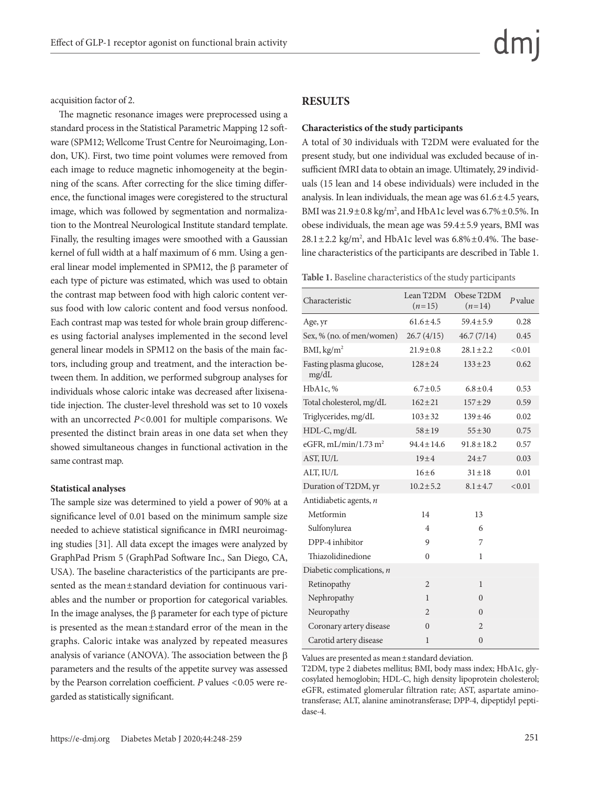acquisition factor of 2.

The magnetic resonance images were preprocessed using a standard process in the Statistical Parametric Mapping 12 software (SPM12; Wellcome Trust Centre for Neuroimaging, London, UK). First, two time point volumes were removed from each image to reduce magnetic inhomogeneity at the beginning of the scans. After correcting for the slice timing difference, the functional images were coregistered to the structural image, which was followed by segmentation and normalization to the Montreal Neurological Institute standard template. Finally, the resulting images were smoothed with a Gaussian kernel of full width at a half maximum of 6 mm. Using a general linear model implemented in SPM12, the β parameter of each type of picture was estimated, which was used to obtain the contrast map between food with high caloric content versus food with low caloric content and food versus nonfood. Each contrast map was tested for whole brain group differences using factorial analyses implemented in the second level general linear models in SPM12 on the basis of the main factors, including group and treatment, and the interaction between them. In addition, we performed subgroup analyses for individuals whose caloric intake was decreased after lixisenatide injection. The cluster-level threshold was set to 10 voxels with an uncorrected *P*<0.001 for multiple comparisons. We presented the distinct brain areas in one data set when they showed simultaneous changes in functional activation in the same contrast map.

#### **Statistical analyses**

The sample size was determined to yield a power of 90% at a significance level of 0.01 based on the minimum sample size needed to achieve statistical significance in fMRI neuroimaging studies [31]. All data except the images were analyzed by GraphPad Prism 5 (GraphPad Software Inc., San Diego, CA, USA). The baseline characteristics of the participants are presented as the mean±standard deviation for continuous variables and the number or proportion for categorical variables. In the image analyses, the β parameter for each type of picture is presented as the mean±standard error of the mean in the graphs. Caloric intake was analyzed by repeated measures analysis of variance (ANOVA). The association between the β parameters and the results of the appetite survey was assessed by the Pearson correlation coefficient. *P* values <0.05 were regarded as statistically significant.

#### **RESULTS**

#### **Characteristics of the study participants**

A total of 30 individuals with T2DM were evaluated for the present study, but one individual was excluded because of insufficient fMRI data to obtain an image. Ultimately, 29 individuals (15 lean and 14 obese individuals) were included in the analysis. In lean individuals, the mean age was  $61.6 \pm 4.5$  years, BMI was  $21.9\pm0.8$  kg/m<sup>2</sup>, and HbA1c level was  $6.7\% \pm 0.5\%$ . In obese individuals, the mean age was 59.4±5.9 years, BMI was  $28.1 \pm 2.2$  kg/m<sup>2</sup>, and HbA1c level was  $6.8\% \pm 0.4\%$ . The baseline characteristics of the participants are described in Table 1.

**Table 1.** Baseline characteristics of the study participants

| Characteristic                   | Lean T2DM<br>$(n=15)$ | Obese T2DM<br>$(n=14)$ | $P$ value |
|----------------------------------|-----------------------|------------------------|-----------|
| Age, yr                          | $61.6 \pm 4.5$        | $59.4 \pm 5.9$         | 0.28      |
| Sex, % (no. of men/women)        | 26.7(4/15)            | 46.7(7/14)             | 0.45      |
| BMI, kg/m <sup>2</sup>           | $21.9 \pm 0.8$        | $28.1 \pm 2.2$         | < 0.01    |
| Fasting plasma glucose,<br>mg/dL | $128 \pm 24$          | $133 \pm 23$           | 0.62      |
| HbA1c, %                         | $6.7 \pm 0.5$         | $6.8 \pm 0.4$          | 0.53      |
| Total cholesterol, mg/dL         | $162 \pm 21$          | $157 + 29$             | 0.59      |
| Triglycerides, mg/dL             | $103 \pm 32$          | $139 \pm 46$           | 0.02      |
| HDL-C, mg/dL                     | $58 + 19$             | $55 \pm 30$            | 0.75      |
| eGFR, mL/min/1.73 m <sup>2</sup> | $94.4 \pm 14.6$       | $91.8 \pm 18.2$        | 0.57      |
| AST, IU/L                        | $19\pm4$              | $24 \pm 7$             | 0.03      |
| ALT, IU/L                        | $16 + 6$              | $31 \pm 18$            | 0.01      |
| Duration of T2DM, yr             | $10.2 \pm 5.2$        | $8.1 \pm 4.7$          | < 0.01    |
| Antidiabetic agents, n           |                       |                        |           |
| Metformin                        | 14                    | 13                     |           |
| Sulfonylurea                     | 4                     | 6                      |           |
| DPP-4 inhibitor                  | 9                     | 7                      |           |
| Thiazolidinedione                | 0                     | 1                      |           |
| Diabetic complications, $n$      |                       |                        |           |
| Retinopathy                      | 2                     | 1                      |           |
| Nephropathy                      | 1                     | $\Omega$               |           |
| Neuropathy                       | $\mathfrak{D}$        | $\Omega$               |           |
| Coronary artery disease          | $\theta$              | $\overline{2}$         |           |
| Carotid artery disease           | 1                     | $\mathbf{0}$           |           |

Values are presented as mean±standard deviation.

T2DM, type 2 diabetes mellitus; BMI, body mass index; HbA1c, glycosylated hemoglobin; HDL-C, high density lipoprotein cholesterol; eGFR, estimated glomerular filtration rate; AST, aspartate aminotransferase; ALT, alanine aminotransferase; DPP-4, dipeptidyl peptidase-4.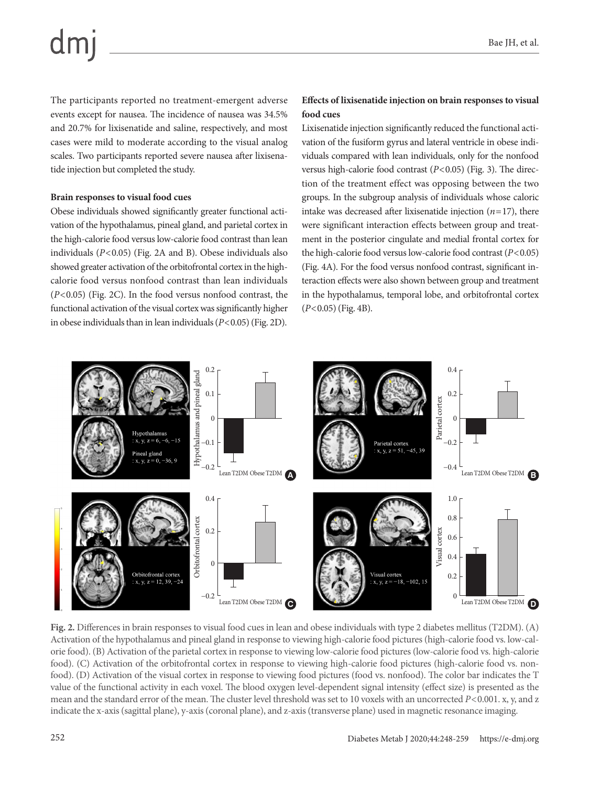The participants reported no treatment-emergent adverse events except for nausea. The incidence of nausea was 34.5% and 20.7% for lixisenatide and saline, respectively, and most cases were mild to moderate according to the visual analog scales. Two participants reported severe nausea after lixisenatide injection but completed the study.

#### **Brain responses to visual food cues**

Obese individuals showed significantly greater functional activation of the hypothalamus, pineal gland, and parietal cortex in the high-calorie food versus low-calorie food contrast than lean individuals (*P*<0.05) (Fig. 2A and B). Obese individuals also showed greater activation of the orbitofrontal cortex in the highcalorie food versus nonfood contrast than lean individuals (*P*<0.05) (Fig. 2C). In the food versus nonfood contrast, the functional activation of the visual cortex was significantly higher in obese individuals than in lean individuals (*P*<0.05) (Fig. 2D).

#### **Effects of lixisenatide injection on brain responses to visual food cues**

Lixisenatide injection significantly reduced the functional activation of the fusiform gyrus and lateral ventricle in obese individuals compared with lean individuals, only for the nonfood versus high-calorie food contrast (*P*<0.05) (Fig. 3). The direction of the treatment effect was opposing between the two groups. In the subgroup analysis of individuals whose caloric intake was decreased after lixisenatide injection  $(n=17)$ , there were significant interaction effects between group and treatment in the posterior cingulate and medial frontal cortex for the high-calorie food versus low-calorie food contrast (*P*<0.05) (Fig. 4A). For the food versus nonfood contrast, significant interaction effects were also shown between group and treatment in the hypothalamus, temporal lobe, and orbitofrontal cortex (*P*<0.05) (Fig. 4B).



**Fig. 2.** Differences in brain responses to visual food cues in lean and obese individuals with type 2 diabetes mellitus (T2DM). (A) Activation of the hypothalamus and pineal gland in response to viewing high-calorie food pictures (high-calorie food vs. low-calorie food). (B) Activation of the parietal cortex in response to viewing low-calorie food pictures (low-calorie food vs. high-calorie food). (C) Activation of the orbitofrontal cortex in response to viewing high-calorie food pictures (high-calorie food vs. nonfood). (D) Activation of the visual cortex in response to viewing food pictures (food vs. nonfood). The color bar indicates the T value of the functional activity in each voxel. The blood oxygen level-dependent signal intensity (effect size) is presented as the mean and the standard error of the mean. The cluster level threshold was set to 10 voxels with an uncorrected *P*<0.001. x, y, and z indicate the x-axis (sagittal plane), y-axis (coronal plane), and z-axis (transverse plane) used in magnetic resonance imaging.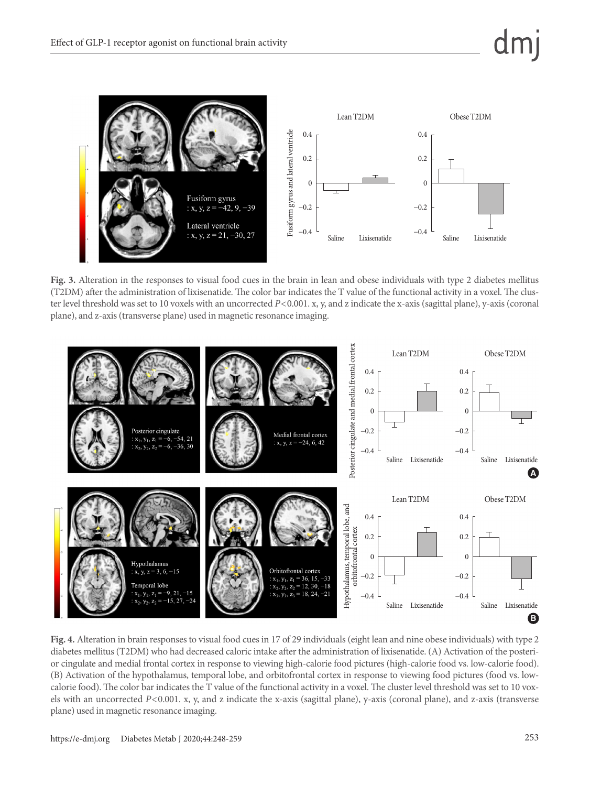

**Fig. 3.** Alteration in the responses to visual food cues in the brain in lean and obese individuals with type 2 diabetes mellitus (T2DM) after the administration of lixisenatide. The color bar indicates the T value of the functional activity in a voxel. The cluster level threshold was set to 10 voxels with an uncorrected *P*<0.001. x, y, and z indicate the x-axis (sagittal plane), y-axis (coronal plane), and z-axis (transverse plane) used in magnetic resonance imaging.



**Fig. 4.** Alteration in brain responses to visual food cues in 17 of 29 individuals (eight lean and nine obese individuals) with type 2 diabetes mellitus (T2DM) who had decreased caloric intake after the administration of lixisenatide. (A) Activation of the posterior cingulate and medial frontal cortex in response to viewing high-calorie food pictures (high-calorie food vs. low-calorie food). (B) Activation of the hypothalamus, temporal lobe, and orbitofrontal cortex in response to viewing food pictures (food vs. lowcalorie food). The color bar indicates the T value of the functional activity in a voxel. The cluster level threshold was set to 10 voxels with an uncorrected *P*<0.001. x, y, and z indicate the x-axis (sagittal plane), y-axis (coronal plane), and z-axis (transverse plane) used in magnetic resonance imaging.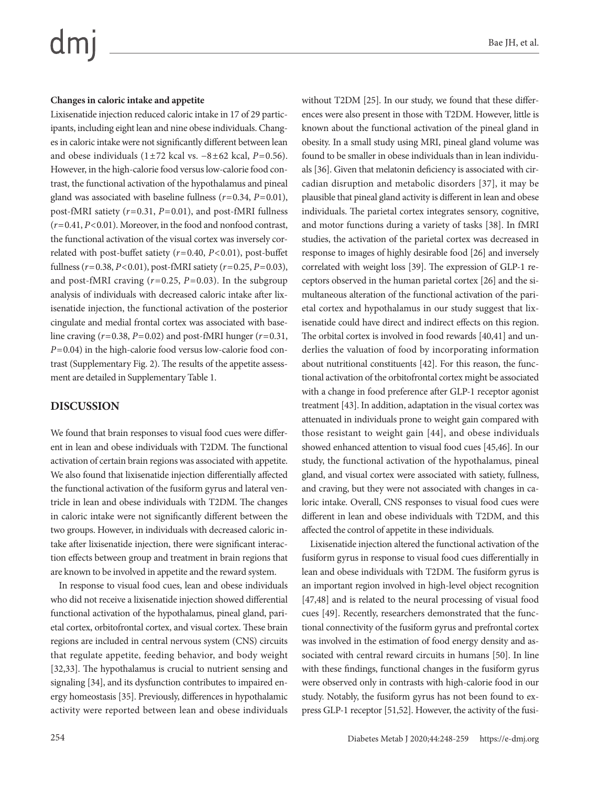# $dm$

#### **Changes in caloric intake and appetite**

Lixisenatide injection reduced caloric intake in 17 of 29 participants, including eight lean and nine obese individuals. Changes in caloric intake were not significantly different between lean and obese individuals (1±72 kcal vs. −8±62 kcal, *P*=0.56). However, in the high-calorie food versus low-calorie food contrast, the functional activation of the hypothalamus and pineal gland was associated with baseline fullness (*r*=0.34, *P*=0.01), post-fMRI satiety (*r*=0.31, *P*=0.01), and post-fMRI fullness (*r*=0.41, *P*<0.01). Moreover, in the food and nonfood contrast, the functional activation of the visual cortex was inversely correlated with post-buffet satiety (*r*=0.40, *P*<0.01), post-buffet fullness (*r*=0.38, *P*<0.01), post-fMRI satiety (*r*=0.25, *P*=0.03), and post-fMRI craving (*r*=0.25, *P*=0.03). In the subgroup analysis of individuals with decreased caloric intake after lixisenatide injection, the functional activation of the posterior cingulate and medial frontal cortex was associated with baseline craving (*r*=0.38, *P*=0.02) and post-fMRI hunger (*r*=0.31, *P*=0.04) in the high-calorie food versus low-calorie food contrast (Supplementary Fig. 2). The results of the appetite assessment are detailed in Supplementary Table 1.

#### **DISCUSSION**

We found that brain responses to visual food cues were different in lean and obese individuals with T2DM. The functional activation of certain brain regions was associated with appetite. We also found that lixisenatide injection differentially affected the functional activation of the fusiform gyrus and lateral ventricle in lean and obese individuals with T2DM. The changes in caloric intake were not significantly different between the two groups. However, in individuals with decreased caloric intake after lixisenatide injection, there were significant interaction effects between group and treatment in brain regions that are known to be involved in appetite and the reward system.

In response to visual food cues, lean and obese individuals who did not receive a lixisenatide injection showed differential functional activation of the hypothalamus, pineal gland, parietal cortex, orbitofrontal cortex, and visual cortex. These brain regions are included in central nervous system (CNS) circuits that regulate appetite, feeding behavior, and body weight [32,33]. The hypothalamus is crucial to nutrient sensing and signaling [34], and its dysfunction contributes to impaired energy homeostasis [35]. Previously, differences in hypothalamic activity were reported between lean and obese individuals without T2DM [25]. In our study, we found that these differences were also present in those with T2DM. However, little is known about the functional activation of the pineal gland in obesity. In a small study using MRI, pineal gland volume was found to be smaller in obese individuals than in lean individuals [36]. Given that melatonin deficiency is associated with circadian disruption and metabolic disorders [37], it may be plausible that pineal gland activity is different in lean and obese individuals. The parietal cortex integrates sensory, cognitive, and motor functions during a variety of tasks [38]. In fMRI studies, the activation of the parietal cortex was decreased in response to images of highly desirable food [26] and inversely correlated with weight loss [39]. The expression of GLP-1 receptors observed in the human parietal cortex [26] and the simultaneous alteration of the functional activation of the parietal cortex and hypothalamus in our study suggest that lixisenatide could have direct and indirect effects on this region. The orbital cortex is involved in food rewards [40,41] and underlies the valuation of food by incorporating information about nutritional constituents [42]. For this reason, the functional activation of the orbitofrontal cortex might be associated with a change in food preference after GLP-1 receptor agonist treatment [43]. In addition, adaptation in the visual cortex was attenuated in individuals prone to weight gain compared with those resistant to weight gain [44], and obese individuals showed enhanced attention to visual food cues [45,46]. In our study, the functional activation of the hypothalamus, pineal gland, and visual cortex were associated with satiety, fullness, and craving, but they were not associated with changes in caloric intake. Overall, CNS responses to visual food cues were different in lean and obese individuals with T2DM, and this affected the control of appetite in these individuals.

Lixisenatide injection altered the functional activation of the fusiform gyrus in response to visual food cues differentially in lean and obese individuals with T2DM. The fusiform gyrus is an important region involved in high-level object recognition [47,48] and is related to the neural processing of visual food cues [49]. Recently, researchers demonstrated that the functional connectivity of the fusiform gyrus and prefrontal cortex was involved in the estimation of food energy density and associated with central reward circuits in humans [50]. In line with these findings, functional changes in the fusiform gyrus were observed only in contrasts with high-calorie food in our study. Notably, the fusiform gyrus has not been found to express GLP-1 receptor [51,52]. However, the activity of the fusi-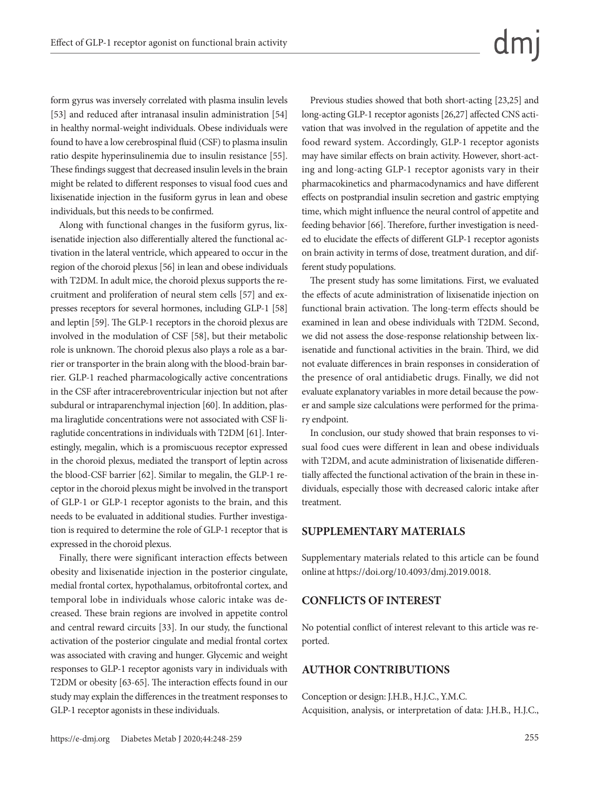form gyrus was inversely correlated with plasma insulin levels [53] and reduced after intranasal insulin administration [54] in healthy normal-weight individuals. Obese individuals were found to have a low cerebrospinal fluid (CSF) to plasma insulin ratio despite hyperinsulinemia due to insulin resistance [55]. These findings suggest that decreased insulin levels in the brain might be related to different responses to visual food cues and lixisenatide injection in the fusiform gyrus in lean and obese individuals, but this needs to be confirmed.

Along with functional changes in the fusiform gyrus, lixisenatide injection also differentially altered the functional activation in the lateral ventricle, which appeared to occur in the region of the choroid plexus [56] in lean and obese individuals with T2DM. In adult mice, the choroid plexus supports the recruitment and proliferation of neural stem cells [57] and expresses receptors for several hormones, including GLP-1 [58] and leptin [59]. The GLP-1 receptors in the choroid plexus are involved in the modulation of CSF [58], but their metabolic role is unknown. The choroid plexus also plays a role as a barrier or transporter in the brain along with the blood-brain barrier. GLP-1 reached pharmacologically active concentrations in the CSF after intracerebroventricular injection but not after subdural or intraparenchymal injection [60]. In addition, plasma liraglutide concentrations were not associated with CSF liraglutide concentrations in individuals with T2DM [61]. Interestingly, megalin, which is a promiscuous receptor expressed in the choroid plexus, mediated the transport of leptin across the blood-CSF barrier [62]. Similar to megalin, the GLP-1 receptor in the choroid plexus might be involved in the transport of GLP-1 or GLP-1 receptor agonists to the brain, and this needs to be evaluated in additional studies. Further investigation is required to determine the role of GLP-1 receptor that is expressed in the choroid plexus.

Finally, there were significant interaction effects between obesity and lixisenatide injection in the posterior cingulate, medial frontal cortex, hypothalamus, orbitofrontal cortex, and temporal lobe in individuals whose caloric intake was decreased. These brain regions are involved in appetite control and central reward circuits [33]. In our study, the functional activation of the posterior cingulate and medial frontal cortex was associated with craving and hunger. Glycemic and weight responses to GLP-1 receptor agonists vary in individuals with T2DM or obesity [63-65]. The interaction effects found in our study may explain the differences in the treatment responses to GLP-1 receptor agonists in these individuals.

Previous studies showed that both short-acting [23,25] and long-acting GLP-1 receptor agonists [26,27] affected CNS activation that was involved in the regulation of appetite and the food reward system. Accordingly, GLP-1 receptor agonists may have similar effects on brain activity. However, short-acting and long-acting GLP-1 receptor agonists vary in their pharmacokinetics and pharmacodynamics and have different effects on postprandial insulin secretion and gastric emptying time, which might influence the neural control of appetite and feeding behavior [66]. Therefore, further investigation is needed to elucidate the effects of different GLP-1 receptor agonists on brain activity in terms of dose, treatment duration, and different study populations.

The present study has some limitations. First, we evaluated the effects of acute administration of lixisenatide injection on functional brain activation. The long-term effects should be examined in lean and obese individuals with T2DM. Second, we did not assess the dose-response relationship between lixisenatide and functional activities in the brain. Third, we did not evaluate differences in brain responses in consideration of the presence of oral antidiabetic drugs. Finally, we did not evaluate explanatory variables in more detail because the power and sample size calculations were performed for the primary endpoint.

In conclusion, our study showed that brain responses to visual food cues were different in lean and obese individuals with T2DM, and acute administration of lixisenatide differentially affected the functional activation of the brain in these individuals, especially those with decreased caloric intake after treatment.

#### **SUPPLEMENTARY MATERIALS**

Supplementary materials related to this article can be found online at https://doi.org/10.4093/dmj.2019.0018.

#### **CONFLICTS OF INTEREST**

No potential conflict of interest relevant to this article was reported.

#### **AUTHOR CONTRIBUTIONS**

Conception or design: J.H.B., H.J.C., Y.M.C. Acquisition, analysis, or interpretation of data: J.H.B., H.J.C.,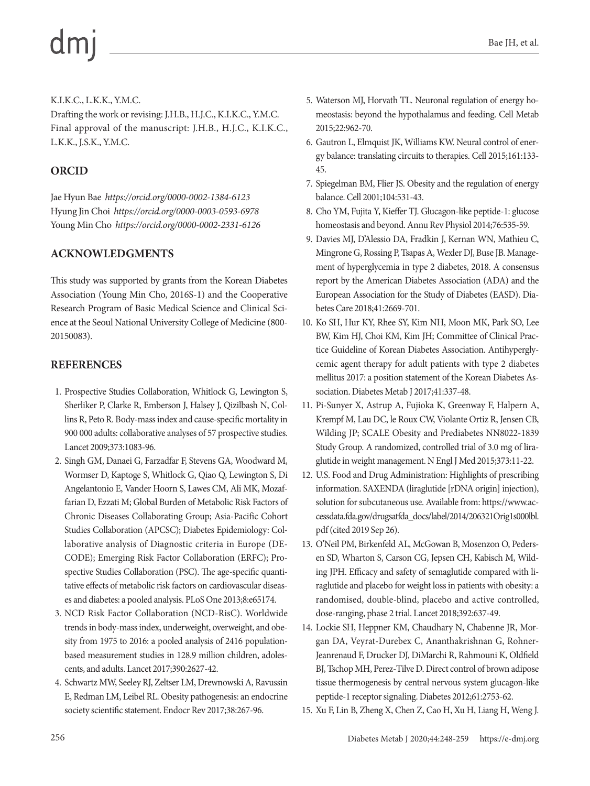#### K.I.K.C., L.K.K., Y.M.C.

Drafting the work or revising: J.H.B., H.J.C., K.I.K.C., Y.M.C. Final approval of the manuscript: J.H.B., H.J.C., K.I.K.C., L.K.K., J.S.K., Y.M.C.

## **ORCID**

Jae Hyun Bae *https://orcid.org/0000-0002-1384-6123* Hyung Jin Choi *https://orcid.org/0000-0003-0593-6978* Young Min Cho *https://orcid.org/0000-0002-2331-6126*

## **ACKNOWLEDGMENTS**

This study was supported by grants from the Korean Diabetes Association (Young Min Cho, 2016S-1) and the Cooperative Research Program of Basic Medical Science and Clinical Science at the Seoul National University College of Medicine (800- 20150083).

### **REFERENCES**

- 1. Prospective Studies Collaboration, Whitlock G, Lewington S, Sherliker P, Clarke R, Emberson J, Halsey J, Qizilbash N, Collins R, Peto R. Body-mass index and cause-specific mortality in 900 000 adults: collaborative analyses of 57 prospective studies. Lancet 2009;373:1083-96.
- 2. Singh GM, Danaei G, Farzadfar F, Stevens GA, Woodward M, Wormser D, Kaptoge S, Whitlock G, Qiao Q, Lewington S, Di Angelantonio E, Vander Hoorn S, Lawes CM, Ali MK, Mozaffarian D, Ezzati M; Global Burden of Metabolic Risk Factors of Chronic Diseases Collaborating Group; Asia-Pacific Cohort Studies Collaboration (APCSC); Diabetes Epidemiology: Collaborative analysis of Diagnostic criteria in Europe (DE-CODE); Emerging Risk Factor Collaboration (ERFC); Prospective Studies Collaboration (PSC). The age-specific quantitative effects of metabolic risk factors on cardiovascular diseases and diabetes: a pooled analysis. PLoS One 2013;8:e65174.
- 3. NCD Risk Factor Collaboration (NCD-RisC). Worldwide trends in body-mass index, underweight, overweight, and obesity from 1975 to 2016: a pooled analysis of 2416 populationbased measurement studies in 128.9 million children, adolescents, and adults. Lancet 2017;390:2627-42.
- 4. Schwartz MW, Seeley RJ, Zeltser LM, Drewnowski A, Ravussin E, Redman LM, Leibel RL. Obesity pathogenesis: an endocrine society scientific statement. Endocr Rev 2017;38:267-96.
- 5. Waterson MJ, Horvath TL. Neuronal regulation of energy homeostasis: beyond the hypothalamus and feeding. Cell Metab 2015;22:962-70.
- 6. Gautron L, Elmquist JK, Williams KW. Neural control of energy balance: translating circuits to therapies. Cell 2015;161:133- 45.
- 7. Spiegelman BM, Flier JS. Obesity and the regulation of energy balance. Cell 2001;104:531-43.
- 8. Cho YM, Fujita Y, Kieffer TJ. Glucagon-like peptide-1: glucose homeostasis and beyond. Annu Rev Physiol 2014;76:535-59.
- 9. Davies MJ, D'Alessio DA, Fradkin J, Kernan WN, Mathieu C, Mingrone G, Rossing P, Tsapas A, Wexler DJ, Buse JB. Management of hyperglycemia in type 2 diabetes, 2018. A consensus report by the American Diabetes Association (ADA) and the European Association for the Study of Diabetes (EASD). Diabetes Care 2018;41:2669-701.
- 10. Ko SH, Hur KY, Rhee SY, Kim NH, Moon MK, Park SO, Lee BW, Kim HJ, Choi KM, Kim JH; Committee of Clinical Practice Guideline of Korean Diabetes Association. Antihyperglycemic agent therapy for adult patients with type 2 diabetes mellitus 2017: a position statement of the Korean Diabetes Association. Diabetes Metab J 2017;41:337-48.
- 11. Pi-Sunyer X, Astrup A, Fujioka K, Greenway F, Halpern A, Krempf M, Lau DC, le Roux CW, Violante Ortiz R, Jensen CB, Wilding JP; SCALE Obesity and Prediabetes NN8022-1839 Study Group. A randomized, controlled trial of 3.0 mg of liraglutide in weight management. N Engl J Med 2015;373:11-22.
- 12. U.S. Food and Drug Administration: Highlights of prescribing information. SAXENDA (liraglutide [rDNA origin] injection), solution for subcutaneous use. Available from: [https://www.ac](https://www.accessdata.fda.gov/drugsatfda_docs/label/2014/206321Orig1s000lbl.pdf)[cessdata.fda.gov/drugsatfda\\_docs/label/2014/206321Orig1s000lbl.](https://www.accessdata.fda.gov/drugsatfda_docs/label/2014/206321Orig1s000lbl.pdf)  [pdf](https://www.accessdata.fda.gov/drugsatfda_docs/label/2014/206321Orig1s000lbl.pdf) (cited 2019 Sep 26).
- 13. O'Neil PM, Birkenfeld AL, McGowan B, Mosenzon O, Pedersen SD, Wharton S, Carson CG, Jepsen CH, Kabisch M, Wilding JPH. Efficacy and safety of semaglutide compared with liraglutide and placebo for weight loss in patients with obesity: a randomised, double-blind, placebo and active controlled, dose-ranging, phase 2 trial. Lancet 2018;392:637-49.
- 14. Lockie SH, Heppner KM, Chaudhary N, Chabenne JR, Morgan DA, Veyrat-Durebex C, Ananthakrishnan G, Rohner-Jeanrenaud F, Drucker DJ, DiMarchi R, Rahmouni K, Oldfield BJ, Tschop MH, Perez-Tilve D. Direct control of brown adipose tissue thermogenesis by central nervous system glucagon-like peptide-1 receptor signaling. Diabetes 2012;61:2753-62.
- 15. Xu F, Lin B, Zheng X, Chen Z, Cao H, Xu H, Liang H, Weng J.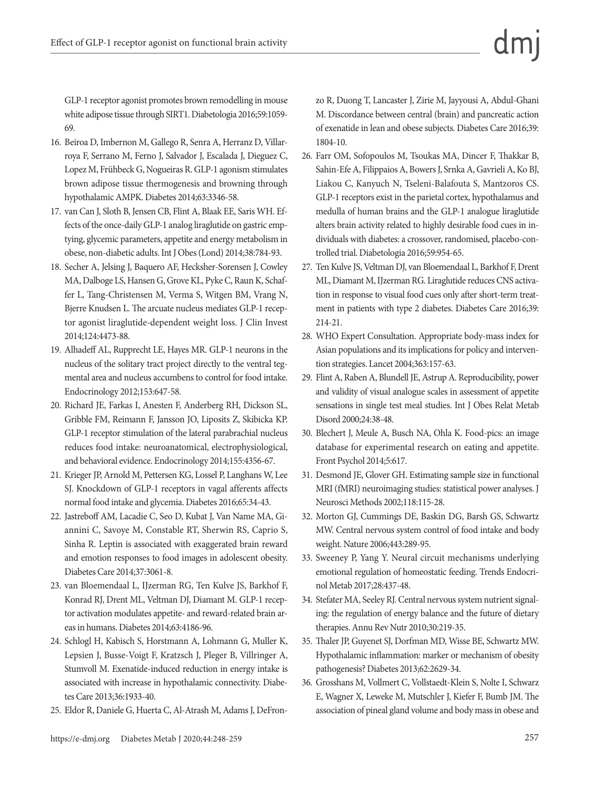GLP-1 receptor agonist promotes brown remodelling in mouse white adipose tissue through SIRT1. Diabetologia 2016;59:1059- 69.

- 16. Beiroa D, Imbernon M, Gallego R, Senra A, Herranz D, Villarroya F, Serrano M, Ferno J, Salvador J, Escalada J, Dieguez C, Lopez M, Frühbeck G, Nogueiras R. GLP-1 agonism stimulates brown adipose tissue thermogenesis and browning through hypothalamic AMPK. Diabetes 2014;63:3346-58.
- 17. van Can J, Sloth B, Jensen CB, Flint A, Blaak EE, Saris WH. Effects of the once-daily GLP-1 analog liraglutide on gastric emptying, glycemic parameters, appetite and energy metabolism in obese, non-diabetic adults. Int J Obes (Lond) 2014;38:784-93.
- 18. Secher A, Jelsing J, Baquero AF, Hecksher-Sorensen J, Cowley MA, Dalboge LS, Hansen G, Grove KL, Pyke C, Raun K, Schaffer L, Tang-Christensen M, Verma S, Witgen BM, Vrang N, Bjerre Knudsen L. The arcuate nucleus mediates GLP-1 receptor agonist liraglutide-dependent weight loss. J Clin Invest 2014;124:4473-88.
- 19. Alhadeff AL, Rupprecht LE, Hayes MR. GLP-1 neurons in the nucleus of the solitary tract project directly to the ventral tegmental area and nucleus accumbens to control for food intake. Endocrinology 2012;153:647-58.
- 20. Richard JE, Farkas I, Anesten F, Anderberg RH, Dickson SL, Gribble FM, Reimann F, Jansson JO, Liposits Z, Skibicka KP. GLP-1 receptor stimulation of the lateral parabrachial nucleus reduces food intake: neuroanatomical, electrophysiological, and behavioral evidence. Endocrinology 2014;155:4356-67.
- 21. Krieger JP, Arnold M, Pettersen KG, Lossel P, Langhans W, Lee SJ. Knockdown of GLP-1 receptors in vagal afferents affects normal food intake and glycemia. Diabetes 2016;65:34-43.
- 22. Jastreboff AM, Lacadie C, Seo D, Kubat J, Van Name MA, Giannini C, Savoye M, Constable RT, Sherwin RS, Caprio S, Sinha R. Leptin is associated with exaggerated brain reward and emotion responses to food images in adolescent obesity. Diabetes Care 2014;37:3061-8.
- 23. van Bloemendaal L, IJzerman RG, Ten Kulve JS, Barkhof F, Konrad RJ, Drent ML, Veltman DJ, Diamant M. GLP-1 receptor activation modulates appetite- and reward-related brain areas in humans. Diabetes 2014;63:4186-96.
- 24. Schlogl H, Kabisch S, Horstmann A, Lohmann G, Muller K, Lepsien J, Busse-Voigt F, Kratzsch J, Pleger B, Villringer A, Stumvoll M. Exenatide-induced reduction in energy intake is associated with increase in hypothalamic connectivity. Diabetes Care 2013;36:1933-40.
- 25. Eldor R, Daniele G, Huerta C, Al-Atrash M, Adams J, DeFron-

zo R, Duong T, Lancaster J, Zirie M, Jayyousi A, Abdul-Ghani M. Discordance between central (brain) and pancreatic action of exenatide in lean and obese subjects. Diabetes Care 2016;39: 1804-10.

- 26. Farr OM, Sofopoulos M, Tsoukas MA, Dincer F, Thakkar B, Sahin-Efe A, Filippaios A, Bowers J, Srnka A, Gavrieli A, Ko BJ, Liakou C, Kanyuch N, Tseleni-Balafouta S, Mantzoros CS. GLP-1 receptors exist in the parietal cortex, hypothalamus and medulla of human brains and the GLP-1 analogue liraglutide alters brain activity related to highly desirable food cues in individuals with diabetes: a crossover, randomised, placebo-controlled trial. Diabetologia 2016;59:954-65.
- 27. Ten Kulve JS, Veltman DJ, van Bloemendaal L, Barkhof F, Drent ML, Diamant M, IJzerman RG. Liraglutide reduces CNS activation in response to visual food cues only after short-term treatment in patients with type 2 diabetes. Diabetes Care 2016;39: 214-21.
- 28. WHO Expert Consultation. Appropriate body-mass index for Asian populations and its implications for policy and intervention strategies. Lancet 2004;363:157-63.
- 29. Flint A, Raben A, Blundell JE, Astrup A. Reproducibility, power and validity of visual analogue scales in assessment of appetite sensations in single test meal studies. Int J Obes Relat Metab Disord 2000;24:38-48.
- 30. Blechert J, Meule A, Busch NA, Ohla K. Food-pics: an image database for experimental research on eating and appetite. Front Psychol 2014;5:617.
- 31. Desmond JE, Glover GH. Estimating sample size in functional MRI (fMRI) neuroimaging studies: statistical power analyses. J Neurosci Methods 2002;118:115-28.
- 32. Morton GJ, Cummings DE, Baskin DG, Barsh GS, Schwartz MW. Central nervous system control of food intake and body weight. Nature 2006;443:289-95.
- 33. Sweeney P, Yang Y. Neural circuit mechanisms underlying emotional regulation of homeostatic feeding. Trends Endocrinol Metab 2017;28:437-48.
- 34. Stefater MA, Seeley RJ. Central nervous system nutrient signaling: the regulation of energy balance and the future of dietary therapies. Annu Rev Nutr 2010;30:219-35.
- 35. Thaler JP, Guyenet SJ, Dorfman MD, Wisse BE, Schwartz MW. Hypothalamic inflammation: marker or mechanism of obesity pathogenesis? Diabetes 2013;62:2629-34.
- 36. Grosshans M, Vollmert C, Vollstaedt-Klein S, Nolte I, Schwarz E, Wagner X, Leweke M, Mutschler J, Kiefer F, Bumb JM. The association of pineal gland volume and body mass in obese and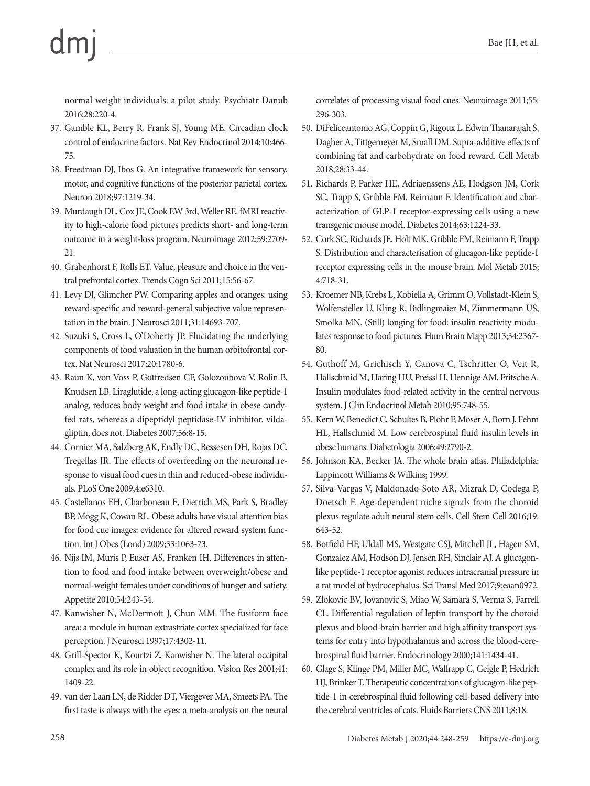normal weight individuals: a pilot study. Psychiatr Danub 2016;28:220-4.

- 37. Gamble KL, Berry R, Frank SJ, Young ME. Circadian clock control of endocrine factors. Nat Rev Endocrinol 2014;10:466- 75.
- 38. Freedman DJ, Ibos G. An integrative framework for sensory, motor, and cognitive functions of the posterior parietal cortex. Neuron 2018;97:1219-34.
- 39. Murdaugh DL, Cox JE, Cook EW 3rd, Weller RE. fMRI reactivity to high-calorie food pictures predicts short- and long-term outcome in a weight-loss program. Neuroimage 2012;59:2709- 21.
- 40. Grabenhorst F, Rolls ET. Value, pleasure and choice in the ventral prefrontal cortex. Trends Cogn Sci 2011;15:56-67.
- 41. Levy DJ, Glimcher PW. Comparing apples and oranges: using reward-specific and reward-general subjective value representation in the brain. J Neurosci 2011;31:14693-707.
- 42. Suzuki S, Cross L, O'Doherty JP. Elucidating the underlying components of food valuation in the human orbitofrontal cortex. Nat Neurosci 2017;20:1780-6.
- 43. Raun K, von Voss P, Gotfredsen CF, Golozoubova V, Rolin B, Knudsen LB. Liraglutide, a long-acting glucagon-like peptide-1 analog, reduces body weight and food intake in obese candyfed rats, whereas a dipeptidyl peptidase-IV inhibitor, vildagliptin, does not. Diabetes 2007;56:8-15.
- 44. Cornier MA, Salzberg AK, Endly DC, Bessesen DH, Rojas DC, Tregellas JR. The effects of overfeeding on the neuronal response to visual food cues in thin and reduced-obese individuals. PLoS One 2009;4:e6310.
- 45. Castellanos EH, Charboneau E, Dietrich MS, Park S, Bradley BP, Mogg K, Cowan RL. Obese adults have visual attention bias for food cue images: evidence for altered reward system function. Int J Obes (Lond) 2009;33:1063-73.
- 46. Nijs IM, Muris P, Euser AS, Franken IH. Differences in attention to food and food intake between overweight/obese and normal-weight females under conditions of hunger and satiety. Appetite 2010;54:243-54.
- 47. Kanwisher N, McDermott J, Chun MM. The fusiform face area: a module in human extrastriate cortex specialized for face perception. J Neurosci 1997;17:4302-11.
- 48. Grill-Spector K, Kourtzi Z, Kanwisher N. The lateral occipital complex and its role in object recognition. Vision Res 2001;41: 1409-22.
- 49. van der Laan LN, de Ridder DT, Viergever MA, Smeets PA. The first taste is always with the eyes: a meta-analysis on the neural

correlates of processing visual food cues. Neuroimage 2011;55: 296-303.

- 50. DiFeliceantonio AG, Coppin G, Rigoux L, Edwin Thanarajah S, Dagher A, Tittgemeyer M, Small DM. Supra-additive effects of combining fat and carbohydrate on food reward. Cell Metab 2018;28:33-44.
- 51. Richards P, Parker HE, Adriaenssens AE, Hodgson JM, Cork SC, Trapp S, Gribble FM, Reimann F. Identification and characterization of GLP-1 receptor-expressing cells using a new transgenic mouse model. Diabetes 2014;63:1224-33.
- 52. Cork SC, Richards JE, Holt MK, Gribble FM, Reimann F, Trapp S. Distribution and characterisation of glucagon-like peptide-1 receptor expressing cells in the mouse brain. Mol Metab 2015; 4:718-31.
- 53. Kroemer NB, Krebs L, Kobiella A, Grimm O, Vollstadt-Klein S, Wolfensteller U, Kling R, Bidlingmaier M, Zimmermann US, Smolka MN. (Still) longing for food: insulin reactivity modulates response to food pictures. Hum Brain Mapp 2013;34:2367- 80.
- 54. Guthoff M, Grichisch Y, Canova C, Tschritter O, Veit R, Hallschmid M, Haring HU, Preissl H, Hennige AM, Fritsche A. Insulin modulates food-related activity in the central nervous system. J Clin Endocrinol Metab 2010;95:748-55.
- 55. Kern W, Benedict C, Schultes B, Plohr F, Moser A, Born J, Fehm HL, Hallschmid M. Low cerebrospinal fluid insulin levels in obese humans. Diabetologia 2006;49:2790-2.
- 56. Johnson KA, Becker JA. The whole brain atlas. Philadelphia: Lippincott Williams & Wilkins; 1999.
- 57. Silva-Vargas V, Maldonado-Soto AR, Mizrak D, Codega P, Doetsch F. Age-dependent niche signals from the choroid plexus regulate adult neural stem cells. Cell Stem Cell 2016;19: 643-52.
- 58. Botfield HF, Uldall MS, Westgate CSJ, Mitchell JL, Hagen SM, Gonzalez AM, Hodson DJ, Jensen RH, Sinclair AJ. A glucagonlike peptide-1 receptor agonist reduces intracranial pressure in a rat model of hydrocephalus. Sci Transl Med 2017;9:eaan0972.
- 59. Zlokovic BV, Jovanovic S, Miao W, Samara S, Verma S, Farrell CL. Differential regulation of leptin transport by the choroid plexus and blood-brain barrier and high affinity transport systems for entry into hypothalamus and across the blood-cerebrospinal fluid barrier. Endocrinology 2000;141:1434-41.
- 60. Glage S, Klinge PM, Miller MC, Wallrapp C, Geigle P, Hedrich HJ, Brinker T. Therapeutic concentrations of glucagon-like peptide-1 in cerebrospinal fluid following cell-based delivery into the cerebral ventricles of cats. Fluids Barriers CNS 2011;8:18.